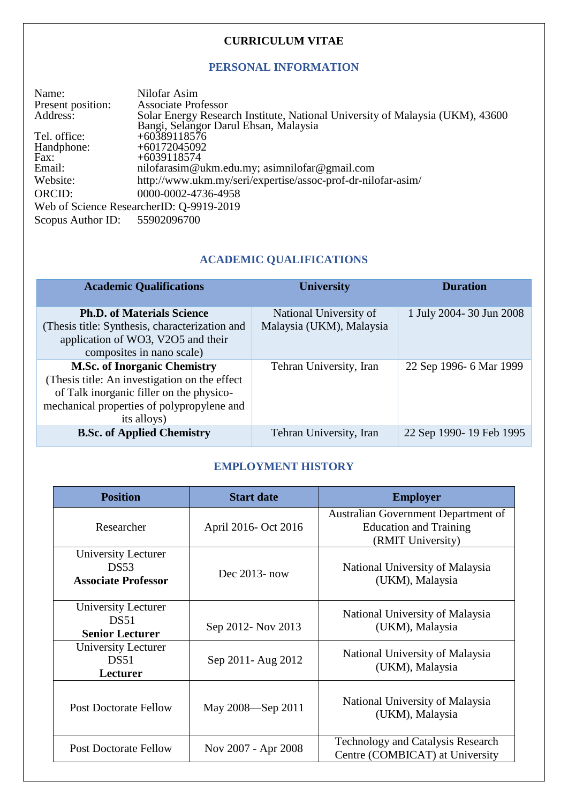### **CURRICULUM VITAE**

# **PERSONAL INFORMATION**

| Name:             | Nilofar Asim                                                                  |
|-------------------|-------------------------------------------------------------------------------|
| Present position: | <b>Associate Professor</b>                                                    |
| Address:          | Solar Energy Research Institute, National University of Malaysia (UKM), 43600 |
|                   | Bangi, Selangor Darul Ehsan, Malaysia                                         |
| Tel. office:      | $+60389118576$                                                                |
| Handphone:        | $+60172045092$                                                                |
| Fax:              | $+6039118574$                                                                 |
| Email:            | nilofarasim@ukm.edu.my; asimnilofar@gmail.com                                 |
| Website:          | http://www.ukm.my/seri/expertise/assoc-prof-dr-nilofar-asim/                  |
| ORCID:            | 0000-0002-4736-4958                                                           |
|                   | Web of Science ResearcherID: Q-9919-2019                                      |
| Scopus Author ID: | 55902096700                                                                   |

# **ACADEMIC QUALIFICATIONS**

| <b>Academic Qualifications</b>                                                                                                                                                                 | <b>University</b>                                  | <b>Duration</b>         |
|------------------------------------------------------------------------------------------------------------------------------------------------------------------------------------------------|----------------------------------------------------|-------------------------|
| <b>Ph.D. of Materials Science</b><br>(Thesis title: Synthesis, characterization and<br>application of WO3, V2O5 and their<br>composites in nano scale)                                         | National University of<br>Malaysia (UKM), Malaysia | 1 July 2004-30 Jun 2008 |
| <b>M.Sc. of Inorganic Chemistry</b><br>(Thesis title: An investigation on the effect)<br>of Talk inorganic filler on the physico-<br>mechanical properties of polypropylene and<br>its alloys) | Tehran University, Iran                            | 22 Sep 1996- 6 Mar 1999 |
| <b>B.Sc. of Applied Chemistry</b>                                                                                                                                                              | Tehran University, Iran                            | 22 Sep 1990-19 Feb 1995 |

# **EMPLOYMENT HISTORY**

| <b>Position</b>                                                  | <b>Start date</b>    | <b>Employer</b>                                                                           |
|------------------------------------------------------------------|----------------------|-------------------------------------------------------------------------------------------|
| Researcher                                                       | April 2016- Oct 2016 | Australian Government Department of<br><b>Education and Training</b><br>(RMIT University) |
| <b>University Lecturer</b><br>DS53<br><b>Associate Professor</b> | Dec $2013$ - now     | National University of Malaysia<br>(UKM), Malaysia                                        |
| University Lecturer<br>DS51<br><b>Senior Lecturer</b>            | Sep 2012- Nov 2013   | National University of Malaysia<br>(UKM), Malaysia                                        |
| University Lecturer<br>DS <sub>51</sub><br>Lecturer              | Sep 2011 - Aug 2012  | National University of Malaysia<br>(UKM), Malaysia                                        |
| <b>Post Doctorate Fellow</b>                                     | May 2008—Sep 2011    | National University of Malaysia<br>(UKM), Malaysia                                        |
| <b>Post Doctorate Fellow</b>                                     | Nov 2007 - Apr 2008  | <b>Technology and Catalysis Research</b><br>Centre (COMBICAT) at University               |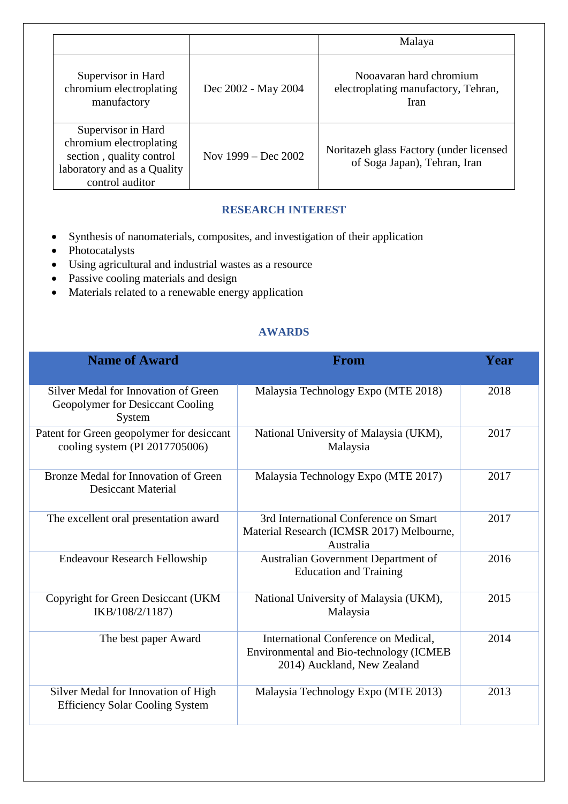|                                                                                                                             |                       | Malaya                                                                  |
|-----------------------------------------------------------------------------------------------------------------------------|-----------------------|-------------------------------------------------------------------------|
| Supervisor in Hard<br>chromium electroplating<br>manufactory                                                                | Dec 2002 - May 2004   | Nooavaran hard chromium<br>electroplating manufactory, Tehran,<br>Iran  |
| Supervisor in Hard<br>chromium electroplating<br>section, quality control<br>laboratory and as a Quality<br>control auditor | Nov $1999 - Dec 2002$ | Noritazeh glass Factory (under licensed<br>of Soga Japan), Tehran, Iran |

# **RESEARCH INTEREST**

- Synthesis of nanomaterials, composites, and investigation of their application
- $\bullet$  Photocatalysts
- Using agricultural and industrial wastes as a resource
- Passive cooling materials and design
- $\bullet$  Materials related to a renewable energy application

# **AWARDS**

| <b>Name of Award</b>                                                               | <b>From</b>                                                                                                     | Year |
|------------------------------------------------------------------------------------|-----------------------------------------------------------------------------------------------------------------|------|
| Silver Medal for Innovation of Green<br>Geopolymer for Desiccant Cooling<br>System | Malaysia Technology Expo (MTE 2018)                                                                             | 2018 |
| Patent for Green geopolymer for desiccant<br>cooling system (PI 2017705006)        | National University of Malaysia (UKM),<br>Malaysia                                                              | 2017 |
| Bronze Medal for Innovation of Green<br><b>Desiccant Material</b>                  | Malaysia Technology Expo (MTE 2017)                                                                             | 2017 |
| The excellent oral presentation award                                              | 3rd International Conference on Smart<br>Material Research (ICMSR 2017) Melbourne,<br>Australia                 | 2017 |
| <b>Endeavour Research Fellowship</b>                                               | Australian Government Department of<br><b>Education and Training</b>                                            | 2016 |
| Copyright for Green Desiccant (UKM<br>IKB/108/2/1187)                              | National University of Malaysia (UKM),<br>Malaysia                                                              | 2015 |
| The best paper Award                                                               | International Conference on Medical,<br>Environmental and Bio-technology (ICMEB)<br>2014) Auckland, New Zealand | 2014 |
| Silver Medal for Innovation of High<br><b>Efficiency Solar Cooling System</b>      | Malaysia Technology Expo (MTE 2013)                                                                             | 2013 |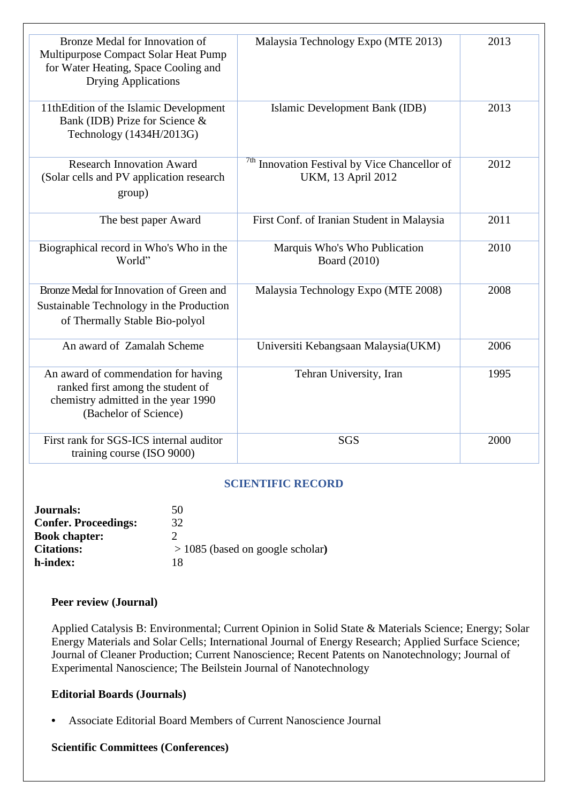| Bronze Medal for Innovation of<br>Multipurpose Compact Solar Heat Pump<br>for Water Heating, Space Cooling and<br><b>Drying Applications</b> | Malaysia Technology Expo (MTE 2013)                                            | 2013 |
|----------------------------------------------------------------------------------------------------------------------------------------------|--------------------------------------------------------------------------------|------|
| 11thEdition of the Islamic Development<br>Bank (IDB) Prize for Science &<br>Technology (1434H/2013G)                                         | Islamic Development Bank (IDB)                                                 | 2013 |
| <b>Research Innovation Award</b><br>(Solar cells and PV application research<br>group)                                                       | <sup>7th</sup> Innovation Festival by Vice Chancellor of<br>UKM, 13 April 2012 | 2012 |
| The best paper Award                                                                                                                         | First Conf. of Iranian Student in Malaysia                                     | 2011 |
| Biographical record in Who's Who in the<br>World"                                                                                            | Marquis Who's Who Publication<br>Board (2010)                                  | 2010 |
| Bronze Medal for Innovation of Green and<br>Sustainable Technology in the Production<br>of Thermally Stable Bio-polyol                       | Malaysia Technology Expo (MTE 2008)                                            | 2008 |
| An award of Zamalah Scheme                                                                                                                   | Universiti Kebangsaan Malaysia(UKM)                                            | 2006 |
| An award of commendation for having<br>ranked first among the student of<br>chemistry admitted in the year 1990<br>(Bachelor of Science)     | Tehran University, Iran                                                        | 1995 |
| First rank for SGS-ICS internal auditor<br>training course (ISO 9000)                                                                        | <b>SGS</b>                                                                     | 2000 |

### **SCIENTIFIC RECORD**

| 50                                 |
|------------------------------------|
| 32                                 |
| Ω.                                 |
| $>$ 1085 (based on google scholar) |
| 18                                 |
|                                    |

#### **Peer review (Journal)**

Applied Catalysis B: Environmental; Current Opinion in Solid State & Materials Science; Energy; Solar Energy Materials and Solar Cells; International Journal of Energy Research; Applied Surface Science; Journal of Cleaner Production; Current Nanoscience; Recent Patents on Nanotechnology; Journal of Experimental Nanoscience; The Beilstein Journal of Nanotechnology

#### **Editorial Boards (Journals)**

**•** Associate Editorial Board Members of Current Nanoscience Journal

#### **Scientific Committees (Conferences)**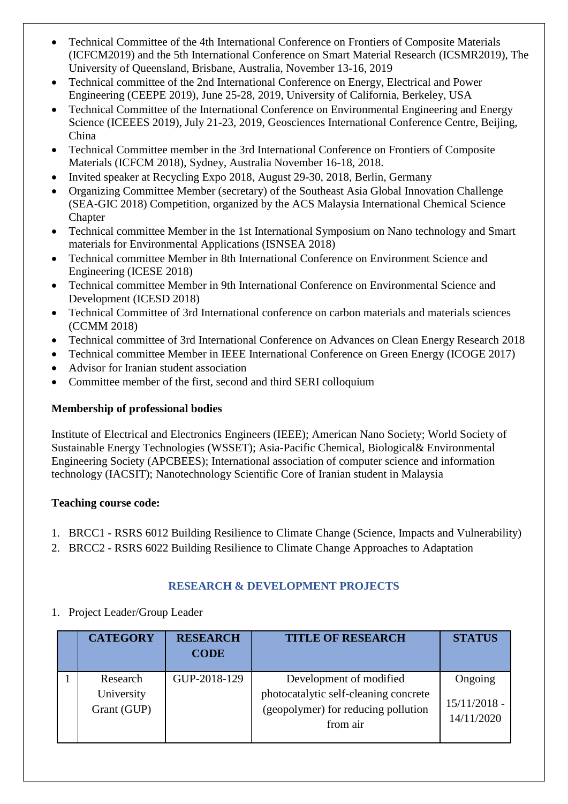- Technical Committee of the 4th International Conference on Frontiers of Composite Materials (ICFCM2019) and the 5th International Conference on Smart Material Research (ICSMR2019), The University of Queensland, Brisbane, Australia, November 13-16, 2019
- Technical committee of the 2nd International Conference on Energy, Electrical and Power Engineering (CEEPE 2019), June 25-28, 2019, University of California, Berkeley, USA
- Technical Committee of the International Conference on Environmental Engineering and Energy Science (ICEEES 2019), July 21-23, 2019, Geosciences International Conference Centre, Beijing, China
- Technical Committee member in the 3rd International Conference on Frontiers of Composite Materials (ICFCM 2018), Sydney, Australia November 16-18, 2018.
- Invited speaker at Recycling Expo 2018, August 29-30, 2018, Berlin, Germany
- Organizing Committee Member (secretary) of the Southeast Asia Global Innovation Challenge (SEA-GIC 2018) Competition, organized by the ACS Malaysia International Chemical Science Chapter
- Technical committee Member in the 1st International Symposium on Nano technology and Smart materials for Environmental Applications (ISNSEA 2018)
- Technical committee Member in 8th International Conference on Environment Science and Engineering (ICESE 2018)
- Technical committee Member in 9th International Conference on Environmental Science and Development (ICESD 2018)
- Technical Committee of 3rd International conference on carbon materials and materials sciences (CCMM 2018)
- Technical committee of 3rd International Conference on Advances on Clean Energy Research 2018
- Technical committee Member in IEEE International Conference on Green Energy (ICOGE 2017)
- Advisor for Iranian student association
- Committee member of the first, second and third SERI colloquium

### **Membership of professional bodies**

Institute of Electrical and Electronics Engineers (IEEE); American Nano Society; World Society of Sustainable Energy Technologies (WSSET); Asia-Pacific Chemical, Biological& Environmental Engineering Society (APCBEES); International association of computer science and information technology (IACSIT); Nanotechnology Scientific Core of Iranian student in Malaysia

### **Teaching course code:**

- 1. BRCC1 RSRS 6012 Building Resilience to Climate Change (Science, Impacts and Vulnerability)
- 2. BRCC2 RSRS 6022 Building Resilience to Climate Change Approaches to Adaptation

# **RESEARCH & DEVELOPMENT PROJECTS**

1. Project Leader/Group Leader

| <b>CATEGORY</b>                       | <b>RESEARCH</b><br><b>CODE</b> | <b>TITLE OF RESEARCH</b>                                                                                            | <b>STATUS</b>                           |
|---------------------------------------|--------------------------------|---------------------------------------------------------------------------------------------------------------------|-----------------------------------------|
| Research<br>University<br>Grant (GUP) | GUP-2018-129                   | Development of modified<br>photocatalytic self-cleaning concrete<br>(geopolymer) for reducing pollution<br>from air | Ongoing<br>$15/11/2018$ -<br>14/11/2020 |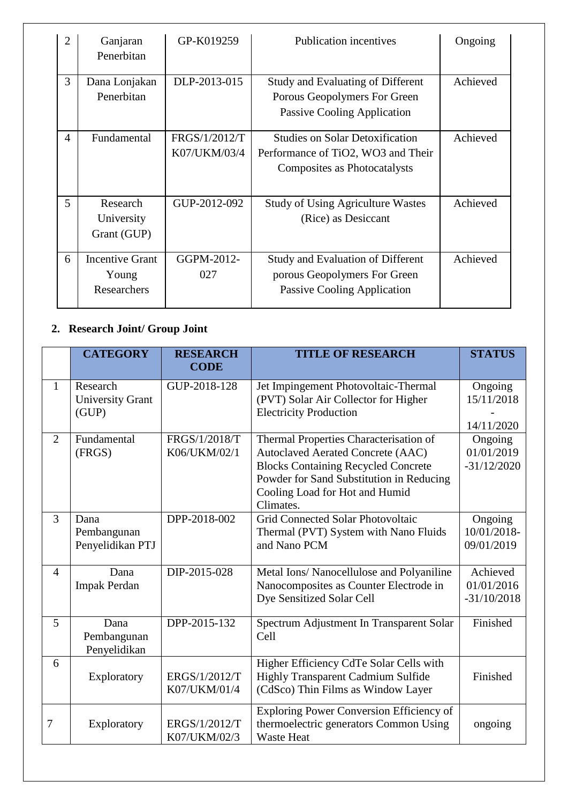| $\overline{2}$ | Ganjaran<br>Penerbitan                         | GP-K019259                    | <b>Publication incentives</b>                                                                                | Ongoing  |
|----------------|------------------------------------------------|-------------------------------|--------------------------------------------------------------------------------------------------------------|----------|
| 3              | Dana Lonjakan<br>Penerbitan                    | DLP-2013-015                  | <b>Study and Evaluating of Different</b><br>Porous Geopolymers For Green<br>Passive Cooling Application      | Achieved |
| $\overline{4}$ | Fundamental                                    | FRGS/1/2012/T<br>K07/UKM/03/4 | <b>Studies on Solar Detoxification</b><br>Performance of TiO2, WO3 and Their<br>Composites as Photocatalysts | Achieved |
| 5              | Research<br>University<br>Grant (GUP)          | GUP-2012-092                  | <b>Study of Using Agriculture Wastes</b><br>(Rice) as Desiccant                                              | Achieved |
| 6              | <b>Incentive Grant</b><br>Young<br>Researchers | GGPM-2012-<br>027             | Study and Evaluation of Different<br>porous Geopolymers For Green<br>Passive Cooling Application             | Achieved |

# **2. Research Joint/ Group Joint**

|                | <b>CATEGORY</b>                              | <b>RESEARCH</b><br><b>CODE</b> | <b>TITLE OF RESEARCH</b>                                                                                                                                                                                                    | <b>STATUS</b>                           |
|----------------|----------------------------------------------|--------------------------------|-----------------------------------------------------------------------------------------------------------------------------------------------------------------------------------------------------------------------------|-----------------------------------------|
| $\mathbf{1}$   | Research<br><b>University Grant</b><br>(GUP) | GUP-2018-128                   | Jet Impingement Photovoltaic-Thermal<br>(PVT) Solar Air Collector for Higher<br><b>Electricity Production</b>                                                                                                               | Ongoing<br>15/11/2018<br>14/11/2020     |
| 2              | Fundamental<br>(FRGS)                        | FRGS/1/2018/T<br>K06/UKM/02/1  | Thermal Properties Characterisation of<br><b>Autoclaved Aerated Concrete (AAC)</b><br><b>Blocks Containing Recycled Concrete</b><br>Powder for Sand Substitution in Reducing<br>Cooling Load for Hot and Humid<br>Climates. | Ongoing<br>01/01/2019<br>$-31/12/2020$  |
| 3              | Dana<br>Pembangunan<br>Penyelidikan PTJ      | DPP-2018-002                   | <b>Grid Connected Solar Photovoltaic</b><br>Thermal (PVT) System with Nano Fluids<br>and Nano PCM                                                                                                                           | Ongoing<br>10/01/2018-<br>09/01/2019    |
| $\overline{4}$ | Dana<br><b>Impak Perdan</b>                  | DIP-2015-028                   | Metal Ions/ Nanocellulose and Polyaniline<br>Nanocomposites as Counter Electrode in<br>Dye Sensitized Solar Cell                                                                                                            | Achieved<br>01/01/2016<br>$-31/10/2018$ |
| 5              | Dana<br>Pembangunan<br>Penyelidikan          | DPP-2015-132                   | Spectrum Adjustment In Transparent Solar<br>Cell                                                                                                                                                                            | Finished                                |
| 6              | Exploratory                                  | ERGS/1/2012/T<br>K07/UKM/01/4  | Higher Efficiency CdTe Solar Cells with<br>Highly Transparent Cadmium Sulfide<br>(CdSco) Thin Films as Window Layer                                                                                                         | Finished                                |
| 7              | Exploratory                                  | ERGS/1/2012/T<br>K07/UKM/02/3  | Exploring Power Conversion Efficiency of<br>thermoelectric generators Common Using<br><b>Waste Heat</b>                                                                                                                     | ongoing                                 |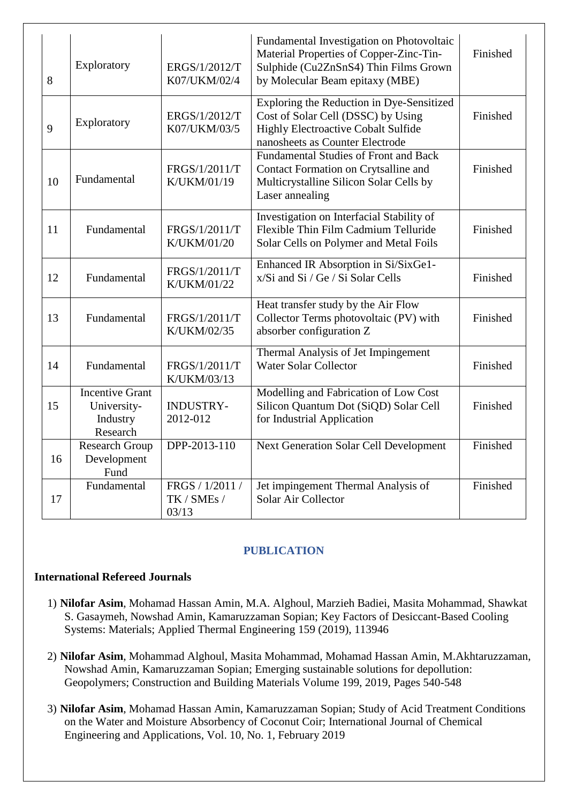| 8  | Exploratory                                                   | ERGS/1/2012/T<br>K07/UKM/02/4           | Fundamental Investigation on Photovoltaic<br>Material Properties of Copper-Zinc-Tin-<br>Sulphide (Cu2ZnSnS4) Thin Films Grown<br>by Molecular Beam epitaxy (MBE) | Finished |
|----|---------------------------------------------------------------|-----------------------------------------|------------------------------------------------------------------------------------------------------------------------------------------------------------------|----------|
| 9  | Exploratory                                                   | ERGS/1/2012/T<br>K07/UKM/03/5           | Exploring the Reduction in Dye-Sensitized<br>Cost of Solar Cell (DSSC) by Using<br><b>Highly Electroactive Cobalt Sulfide</b><br>nanosheets as Counter Electrode | Finished |
| 10 | Fundamental                                                   | FRGS/1/2011/T<br>K/UKM/01/19            | <b>Fundamental Studies of Front and Back</b><br>Contact Formation on Crytsalline and<br>Multicrystalline Silicon Solar Cells by<br>Laser annealing               | Finished |
| 11 | Fundamental                                                   | FRGS/1/2011/T<br>K/UKM/01/20            | Investigation on Interfacial Stability of<br>Flexible Thin Film Cadmium Telluride<br>Solar Cells on Polymer and Metal Foils                                      | Finished |
| 12 | Fundamental                                                   | FRGS/1/2011/T<br>K/UKM/01/22            | Enhanced IR Absorption in Si/SixGe1-<br>x/Si and Si / Ge / Si Solar Cells                                                                                        | Finished |
| 13 | Fundamental                                                   | FRGS/1/2011/T<br>K/UKM/02/35            | Heat transfer study by the Air Flow<br>Collector Terms photovoltaic (PV) with<br>absorber configuration Z                                                        | Finished |
| 14 | Fundamental                                                   | FRGS/1/2011/T<br>K/UKM/03/13            | Thermal Analysis of Jet Impingement<br><b>Water Solar Collector</b>                                                                                              | Finished |
| 15 | <b>Incentive Grant</b><br>University-<br>Industry<br>Research | <b>INDUSTRY-</b><br>2012-012            | Modelling and Fabrication of Low Cost<br>Silicon Quantum Dot (SiQD) Solar Cell<br>for Industrial Application                                                     | Finished |
| 16 | Research Group<br>Development<br>Fund                         | DPP-2013-110                            | <b>Next Generation Solar Cell Development</b>                                                                                                                    | Finished |
| 17 | Fundamental                                                   | FRGS / 1/2011 /<br>TK / SMEs /<br>03/13 | Jet impingement Thermal Analysis of<br>Solar Air Collector                                                                                                       | Finished |

### **PUBLICATION**

### **International Refereed Journals**

- 1) **Nilofar Asim**, Mohamad Hassan Amin, M.A. Alghoul, Marzieh Badiei, Masita Mohammad, Shawkat S. Gasaymeh, Nowshad Amin, Kamaruzzaman Sopian; Key Factors of Desiccant-Based Cooling Systems: Materials; Applied Thermal Engineering 159 (2019), 113946
- 2) **Nilofar Asim**, Mohammad Alghoul, Masita Mohammad, Mohamad Hassan Amin, M.Akhtaruzzaman, Nowshad Amin, Kamaruzzaman Sopian; Emerging sustainable solutions for depollution: Geopolymers; Construction and Building Materials Volume 199, 2019, Pages 540-548
- 3) **Nilofar Asim**, Mohamad Hassan Amin, Kamaruzzaman Sopian; Study of Acid Treatment Conditions on the Water and Moisture Absorbency of Coconut Coir; International Journal of Chemical Engineering and Applications, Vol. 10, No. 1, February 2019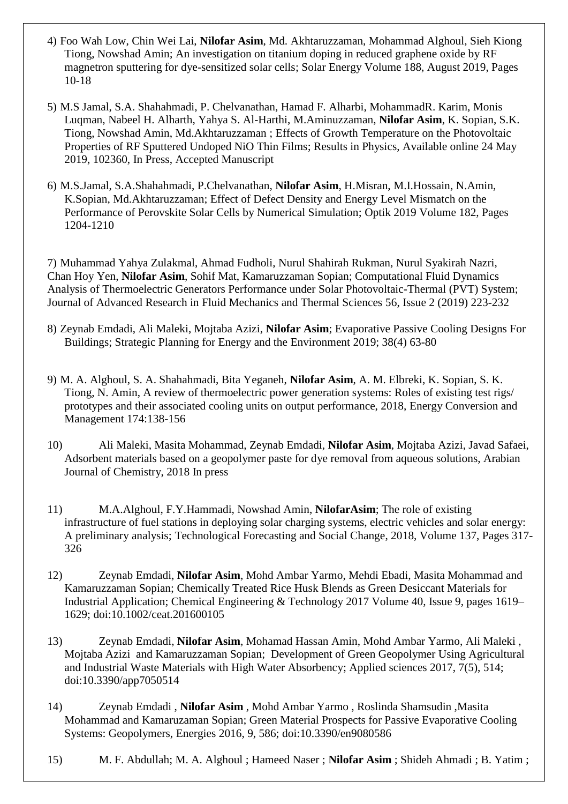- 4) Foo Wah Low, Chin Wei Lai, **Nilofar Asim**, Md. Akhtaruzzaman, Mohammad Alghoul, Sieh Kiong Tiong, Nowshad Amin; An investigation on titanium doping in reduced graphene oxide by RF magnetron sputtering for dye-sensitized solar cells; Solar Energy Volume 188, August 2019, Pages 10-18
- 5) M.S Jamal, S.A. Shahahmadi, P. Chelvanathan, Hamad F. Alharbi, MohammadR. Karim, Monis Luqman, Nabeel H. Alharth, Yahya S. Al-Harthi, M.Aminuzzaman, **Nilofar Asim**, K. Sopian, S.K. Tiong, Nowshad Amin, Md.Akhtaruzzaman ; Effects of Growth Temperature on the Photovoltaic Properties of RF Sputtered Undoped NiO Thin Films; Results in Physics, Available online 24 May 2019, 102360, In Press, Accepted Manuscript
- 6) M.S.Jamal, S.A.Shahahmadi, P.Chelvanathan, **Nilofar Asim**, H.Misran, M.I.Hossain, N.Amin, K.Sopian, Md.Akhtaruzzaman; Effect of Defect Density and Energy Level Mismatch on the Performance of Perovskite Solar Cells by Numerical Simulation; Optik 2019 Volume 182, Pages 1204-1210

7) Muhammad Yahya Zulakmal, Ahmad Fudholi, Nurul Shahirah Rukman, Nurul Syakirah Nazri, Chan Hoy Yen, **Nilofar Asim**, Sohif Mat, Kamaruzzaman Sopian; Computational Fluid Dynamics Analysis of Thermoelectric Generators Performance under Solar Photovoltaic-Thermal (PVT) System; Journal of Advanced Research in Fluid Mechanics and Thermal Sciences 56, Issue 2 (2019) 223-232

- 8) Zeynab Emdadi, Ali Maleki, Mojtaba Azizi, **Nilofar Asim**; Evaporative Passive Cooling Designs For Buildings; Strategic Planning for Energy and the Environment 2019; 38(4) 63-80
- 9) M. A. Alghoul, S. A. Shahahmadi, Bita Yeganeh, **Nilofar Asim**, A. M. Elbreki, K. Sopian, S. K. Tiong, N. Amin, A review of thermoelectric power generation systems: Roles of existing test rigs/ prototypes and their associated cooling units on output performance, 2018, Energy Conversion and Management 174:138-156
- 10) Ali Maleki, Masita Mohammad, Zeynab Emdadi, **Nilofar Asim**, Mojtaba Azizi, Javad Safaei, Adsorbent materials based on a geopolymer paste for dye removal from aqueous solutions, Arabian Journal of Chemistry, 2018 In press
- 11) M.A.Alghoul, F.Y.Hammadi, Nowshad Amin, **NilofarAsim**; The role of existing infrastructure of fuel stations in deploying solar charging systems, electric vehicles and solar energy: A preliminary analysis; Technological Forecasting and Social Change, 2018, Volume 137, Pages 317- 326
- 12) Zeynab Emdadi, **Nilofar Asim**, Mohd Ambar Yarmo, Mehdi Ebadi, Masita Mohammad and Kamaruzzaman Sopian; Chemically Treated Rice Husk Blends as Green Desiccant Materials for Industrial Application; Chemical Engineering & Technology 2017 Volume 40, Issue 9, pages 1619– 1629; doi:10.1002/ceat.201600105
- 13) Zeynab Emdadi, **Nilofar Asim**, Mohamad Hassan Amin, Mohd Ambar Yarmo, Ali Maleki , Mojtaba Azizi and Kamaruzzaman Sopian; Development of Green Geopolymer Using Agricultural and Industrial Waste Materials with High Water Absorbency; Applied sciences 2017, 7(5), 514; doi:10.3390/app7050514
- 14) Zeynab Emdadi , **Nilofar Asim** , Mohd Ambar Yarmo , Roslinda Shamsudin ,Masita Mohammad and Kamaruzaman Sopian; Green Material Prospects for Passive Evaporative Cooling Systems: Geopolymers, Energies 2016, 9, 586; doi:10.3390/en9080586
- 15) M. F. Abdullah; M. A. Alghoul ; Hameed Naser ; **Nilofar Asim** ; Shideh Ahmadi ; B. Yatim ;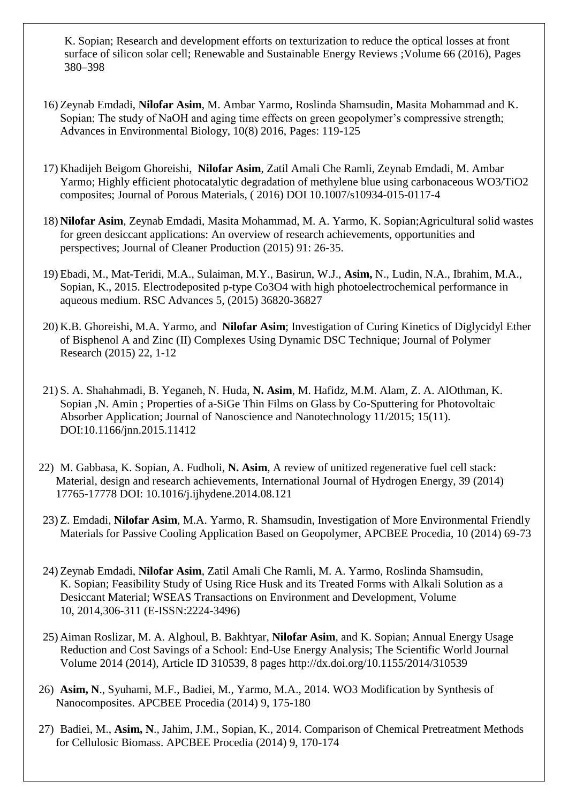K. Sopian; Research and development efforts on texturization to reduce the optical losses at front surface of silicon solar cell; Renewable and Sustainable Energy Reviews ;Volume 66 (2016), Pages 380–398

- 16) Zeynab Emdadi, **Nilofar Asim**, M. Ambar Yarmo, Roslinda Shamsudin, Masita Mohammad and K. Sopian; The study of NaOH and aging time effects on green geopolymer's compressive strength; Advances in Environmental Biology, 10(8) 2016, Pages: 119-125
- 17) Khadijeh Beigom Ghoreishi, **Nilofar Asim**, Zatil Amali Che Ramli, Zeynab Emdadi, M. Ambar Yarmo; Highly efficient photocatalytic degradation of methylene blue using carbonaceous WO3/TiO2 composites; Journal of Porous Materials, ( 2016) DOI 10.1007/s10934-015-0117-4
- 18) **Nilofar Asim**, Zeynab Emdadi, Masita Mohammad, M. A. Yarmo, K. Sopian;Agricultural solid wastes for green desiccant applications: An overview of research achievements, opportunities and perspectives; Journal of Cleaner Production (2015) 91: 26-35.
- 19) Ebadi, M., Mat-Teridi, M.A., Sulaiman, M.Y., Basirun, W.J., **Asim,** N., Ludin, N.A., Ibrahim, M.A., Sopian, K., 2015. Electrodeposited p-type Co3O4 with high photoelectrochemical performance in aqueous medium. RSC Advances 5, (2015) 36820-36827
- 20) K.B. Ghoreishi, M.A. Yarmo, and **Nilofar Asim**; Investigation of Curing Kinetics of Diglycidyl Ether of Bisphenol A and Zinc (II) Complexes Using Dynamic DSC Technique; Journal of Polymer Research (2015) 22, 1-12
- 21) S. A. Shahahmadi, B. Yeganeh, N. Huda, **N. Asim**, M. Hafidz, M.M. Alam, Z. A. AlOthman, K. Sopian ,N. Amin ; Properties of a-SiGe Thin Films on Glass by Co-Sputtering for Photovoltaic Absorber Application; Journal of Nanoscience and Nanotechnology 11/2015; 15(11). DOI:10.1166/jnn.2015.11412
- 22) M. Gabbasa, K. Sopian, A. Fudholi, **N. Asim**, A review of unitized regenerative fuel cell stack: Material, design and research achievements, International Journal of Hydrogen Energy, 39 (2014) 17765-17778 DOI: 10.1016/j.ijhydene.2014.08.121
- 23) Z. Emdadi, **Nilofar Asim**, M.A. Yarmo, R. Shamsudin, Investigation of More Environmental Friendly Materials for Passive Cooling Application Based on Geopolymer, APCBEE Procedia, 10 (2014) 69-73
- 24) Zeynab Emdadi, **Nilofar Asim**, Zatil Amali Che Ramli, M. A. Yarmo, Roslinda Shamsudin, K. Sopian; Feasibility Study of Using Rice Husk and its Treated Forms with Alkali Solution as a Desiccant Material; WSEAS Transactions on Environment and Development, Volume 10, 2014,306-311 (E-ISSN:2224-3496)
- 25) Aiman Roslizar, M. A. Alghoul, B. Bakhtyar, **Nilofar Asim**, and K. Sopian; Annual Energy Usage Reduction and Cost Savings of a School: End-Use Energy Analysis; The Scientific World Journal Volume 2014 (2014), Article ID 310539, 8 pages http://dx.doi.org/10.1155/2014/310539
- 26) **Asim, N**., Syuhami, M.F., Badiei, M., Yarmo, M.A., 2014. WO3 Modification by Synthesis of Nanocomposites. APCBEE Procedia (2014) 9, 175-180
- 27) Badiei, M., **Asim, N**., Jahim, J.M., Sopian, K., 2014. Comparison of Chemical Pretreatment Methods for Cellulosic Biomass. APCBEE Procedia (2014) 9, 170-174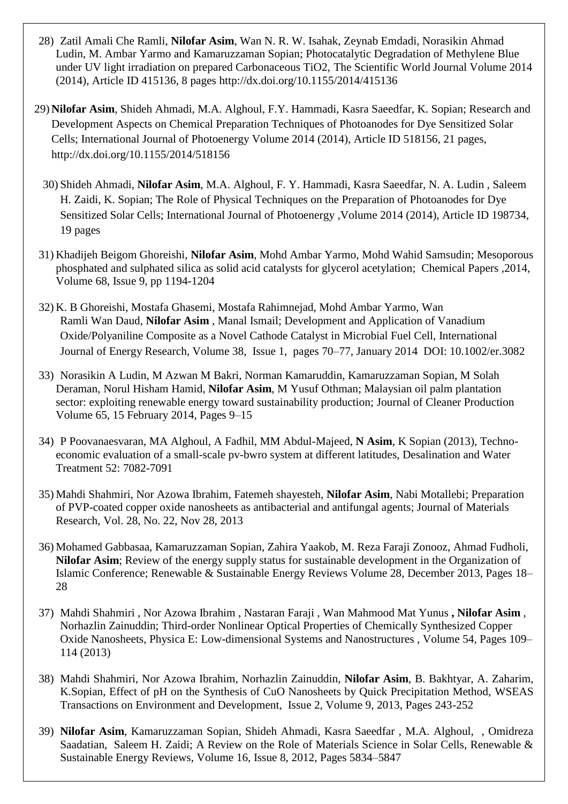- 28) Zatil Amali Che Ramli, **Nilofar Asim**, Wan N. R. W. Isahak, Zeynab Emdadi, Norasikin Ahmad Ludin, M. Ambar Yarmo and Kamaruzzaman Sopian; Photocatalytic Degradation of Methylene Blue under UV light irradiation on prepared Carbonaceous TiO2, The Scientific World Journal Volume 2014 (2014), Article ID 415136, 8 pages http://dx.doi.org/10.1155/2014/415136
- 29) **Nilofar Asim**, Shideh Ahmadi, M.A. Alghoul, F.Y. Hammadi, Kasra Saeedfar, K. Sopian; Research and Development Aspects on Chemical Preparation Techniques of Photoanodes for Dye Sensitized Solar Cells; International Journal of Photoenergy Volume 2014 (2014), Article ID 518156, 21 pages, http://dx.doi.org/10.1155/2014/518156
	- 30) Shideh Ahmadi, **Nilofar Asim**, M.A. Alghoul, F. Y. Hammadi, Kasra Saeedfar, N. A. Ludin , Saleem H. Zaidi, K. Sopian; The Role of Physical Techniques on the Preparation of Photoanodes for Dye Sensitized Solar Cells; International Journal of Photoenergy ,Volume 2014 (2014), Article ID 198734, 19 pages
- 31) Khadijeh Beigom Ghoreishi, **Nilofar Asim**, Mohd Ambar Yarmo, Mohd Wahid Samsudin; Mesoporous phosphated and sulphated silica as solid acid catalysts for glycerol acetylation; Chemical Papers ,2014, Volume 68, [Issue 9,](http://link.springer.com/journal/11696/68/9/page/1) pp 1194-1204
- 32) K. B Ghoreishi, Mostafa Ghasemi, Mostafa Rahimnejad, Mohd Ambar Yarmo, Wan Ramli Wan Daud, **Nilofar Asim** , Manal Ismail; Development and Application of Vanadium Oxide/Polyaniline Composite as a Novel Cathode Catalyst in Microbial Fuel Cell, International Journal of Energy Research, Volume 38, Issue 1, pages 70–77, January 2014 DOI: 10.1002/er.3082
- 33) Norasikin A Ludin, M Azwan M Bakri, Norman Kamaruddin, Kamaruzzaman Sopian, M Solah Deraman, Norul Hisham Hamid, **Nilofar Asim**, M Yusuf Othman; Malaysian oil palm plantation sector: exploiting renewable energy toward sustainability production; Journal of Cleaner Production Volume 65, 15 February 2014, Pages 9–15
- 34) P Poovanaesvaran, MA Alghoul, A Fadhil, MM Abdul-Majeed, **N Asim**, K Sopian (2013), Technoeconomic evaluation of a small-scale pv-bwro system at different latitudes, Desalination and Water Treatment 52: 7082-7091
- 35) Mahdi Shahmiri, Nor Azowa Ibrahim, Fatemeh shayesteh, **Nilofar Asim**, Nabi Motallebi; Preparation of PVP-coated copper oxide nanosheets as antibacterial and antifungal agents; Journal of Materials Research, Vol. 28, No. 22, Nov 28, 2013
- 36) Mohamed Gabbasaa, Kamaruzzaman Sopian, Zahira Yaakob, M. Reza Faraji Zonooz, Ahmad Fudholi, **Nilofar Asim**; Review of the energy supply status for sustainable development in the Organization of Islamic Conference; Renewable & Sustainable Energy Reviews [Volume 28,](http://www.sciencedirect.com/science/journal/13640321/28/supp/C) December 2013, Pages 18– 28
- 37) Mahdi Shahmiri , Nor Azowa Ibrahim , Nastaran Faraji , Wan Mahmood Mat Yunus **, Nilofar Asim** , Norhazlin Zainuddin; Third-order Nonlinear Optical Properties of Chemically Synthesized Copper Oxide Nanosheets, Physica E: Low-dimensional Systems and Nanostructures , Volume 54, Pages 109– 114 (2013)
- 38) Mahdi Shahmiri, Nor Azowa Ibrahim, Norhazlin Zainuddin, **Nilofar Asim**, B. Bakhtyar, A. Zaharim, K.Sopian, Effect of pH on the Synthesis of CuO Nanosheets by Quick Precipitation Method, WSEAS Transactions on Environment and Development, Issue 2, Volume 9, 2013, Pages 243-252
- 39) **Nilofar Asim**, Kamaruzzaman Sopian, Shideh Ahmadi, Kasra Saeedfar , M.A. Alghoul, , Omidreza Saadatian, Saleem H. Zaidi; A Review on the Role of Materials Science in Solar Cells, Renewable & Sustainable Energy Reviews, [Volume 16, Issue 8,](http://www.sciencedirect.com/science/journal/13640321/16/8) 2012, Pages 5834–5847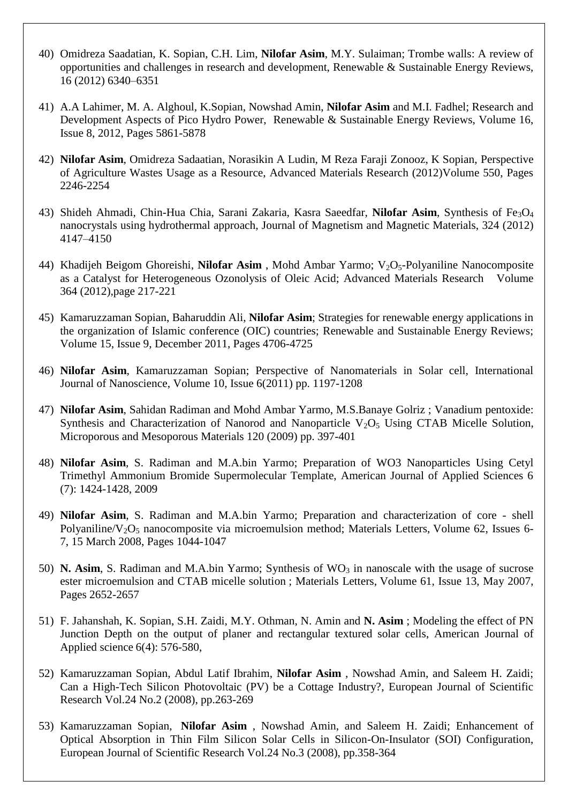- 40) Omidreza Saadatian, K. Sopian, C.H. Lim, **Nilofar Asim**, M.Y. Sulaiman; Trombe walls: A review of opportunities and challenges in research and development, Renewable & Sustainable Energy Reviews, 16 (2012) 6340–6351
- 41) A.A Lahimer, M. A. Alghoul, K.Sopian, Nowshad Amin, **Nilofar Asim** and M.I. Fadhel; Research and Development Aspects of Pico Hydro Power, Renewable & Sustainable Energy Reviews, Volume 16, Issue 8, 2012, Pages 5861-5878
- 42) **Nilofar Asim**, Omidreza Sadaatian, Norasikin A Ludin, M Reza Faraji Zonooz, K Sopian, [Perspective](http://www.scientific.net/AMR.550-553.2246)  [of Agriculture Wastes Usage as a Resource,](http://www.scientific.net/AMR.550-553.2246) Advanced Materials Research (2012)Volume 550, Pages 2246-2254
- 43) Shideh Ahmadi, Chin-Hua Chia, Sarani Zakaria, Kasra Saeedfar, **Nilofar Asim**, Synthesis of Fe3O<sup>4</sup> nanocrystals using hydrothermal approach, Journal of Magnetism and Magnetic Materials, 324 (2012) 4147–4150
- 44) [Khadijeh Beigom Ghoreishi,](http://www.scientific.net/author/Khadijeh_Beigom_Ghoreishi) **Nilofar [Asim](http://www.scientific.net/author/Asim_Nilofar)**, [Mohd Ambar Yarmo;](http://www.scientific.net/author/Mohd_Ambar_Yarmo) V<sub>2</sub>O<sub>5</sub>-Polyaniline Nanocomposite as a Catalyst for Heterogeneous Ozonolysis of Oleic Acid; [Advanced Materials Research](http://www.scientific.net/AMR) Volume 364 (2012),page 217-221
- 45) Kamaruzzaman Sopian, Baharuddin Ali, **Nilofar Asim**; Strategies for renewable energy applications in the organization of Islamic conference (OIC) countries; [Renewable and Sustainable Energy Reviews;](http://www.sciencedirect.com/science/journal/13640321) [Volume 15, Issue 9,](http://www.sciencedirect.com/science?_ob=PublicationURL&_hubEid=1-s2.0-S1364032111X00084&_cid=271969&_pubType=JL&view=c&_auth=y&_acct=C000012458&_version=1&_urlVersion=0&_userid=6470374&md5=c02594322d8c3a098693f6531217507f) December 2011, Pages 4706-4725
- 46) **Nilofar Asim**, Kamaruzzaman Sopian; Perspective of Nanomaterials in Solar cell, International Journal of Nanoscience, [Volume 10, Issue 6\(](http://www.worldscinet.com/ijn/mkt/archive.shtml?2011&10)2011) pp. 1197-1208
- 47) **Nilofar Asim**, Sahidan Radiman and Mohd Ambar Yarmo, M.S.Banaye Golriz ; [Vanadium pentoxide:](http://0-www.sciencedirect.com.www.whitelib.emporia.edu/science?_ob=ArticleURL&_udi=B6TH4-4V76290-1&_user=10&_coverDate=12%2F25%2F2008&_rdoc=15&_fmt=high&_orig=browse&_srch=doc-info(%23toc%235272%239999%23999999999%2399999%23FLA%23display%23Articles)&_cdi=5272&_sort=d&_docanchor=&view=c&_ct=127&_acct=C000050221&_version=1&_urlVersion=0&_userid=10&md5=771a917a5ad3f00b36777705bac86618)  Synthesis and Characterization of Nanorod and Nanoparticle  $V_2O_5$  Using CTAB Micelle Solution, Microporous and Mesoporous Materials 120 (2009) pp. 397-401
- 48) **Nilofar Asim**, S. Radiman and M.A.bin Yarmo; Preparation of WO3 Nanoparticles Using Cetyl Trimethyl Ammonium Bromide Supermolecular Template, American Journal of Applied Sciences 6 (7): 1424-1428, 2009
- 49) **Nilofar Asim**, S. Radiman and M.A.bin Yarmo; Preparation and characterization of core shell Polyaniline/V<sub>2</sub>O<sub>5</sub> nanocomposite via microemulsion method; Materials Letters, Volume 62, Issues 6-7, 15 March 2008, Pages 1044-1047
- 50) **N. Asim**, S. Radiman and M.A.bin Yarmo; Synthesis of WO<sub>3</sub> in nanoscale with the usage of sucrose ester microemulsion and CTAB micelle solution ; Materials Letters, Volume 61, Issue 13, May 2007, Pages 2652-2657
- 51) F. Jahanshah, K. Sopian, S.H. Zaidi, M.Y. Othman, N. Amin and **N. Asim** ; Modeling the effect of PN Junction Depth on the output of planer and rectangular textured solar cells, American Journal of Applied science 6(4): 576-580,
- 52) Kamaruzzaman Sopian, Abdul Latif Ibrahim, **Nilofar Asim** , Nowshad Amin, and Saleem H. Zaidi; Can a High-Tech Silicon Photovoltaic (PV) be a Cottage Industry?, European Journal of Scientific Research Vol.24 No.2 (2008), pp.263-269
- 53) Kamaruzzaman Sopian, **Nilofar Asim** , Nowshad Amin, and Saleem H. Zaidi; Enhancement of Optical Absorption in Thin Film Silicon Solar Cells in Silicon-On-Insulator (SOI) Configuration, European Journal of Scientific Research Vol.24 No.3 (2008), pp.358-364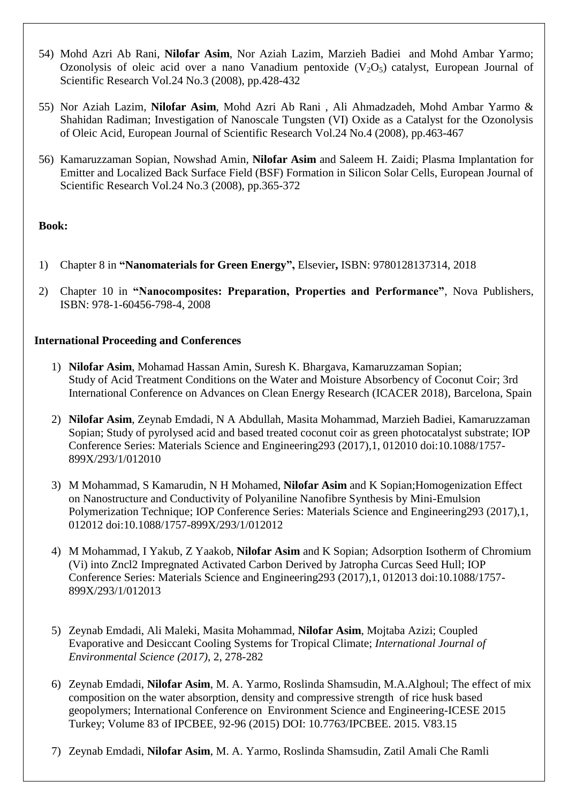- 54) Mohd Azri Ab Rani, **Nilofar Asim**, Nor Aziah Lazim, Marzieh Badiei and Mohd Ambar Yarmo; Ozonolysis of oleic acid over a nano Vanadium pentoxide  $(V_2O_5)$  catalyst, European Journal of Scientific Research Vol.24 No.3 (2008), pp.428-432
- 55) Nor Aziah Lazim, **Nilofar Asim**, Mohd Azri Ab Rani , Ali Ahmadzadeh, Mohd Ambar Yarmo & Shahidan Radiman; Investigation of Nanoscale Tungsten (VI) Oxide as a Catalyst for the Ozonolysis of Oleic Acid, European Journal of Scientific Research Vol.24 No.4 (2008), pp.463-467
- 56) Kamaruzzaman Sopian, Nowshad Amin, **Nilofar Asim** and Saleem H. Zaidi; Plasma Implantation for Emitter and Localized Back Surface Field (BSF) Formation in Silicon Solar Cells, European Journal of Scientific Research Vol.24 No.3 (2008), pp.365-372

### **Book:**

- 1) Chapter 8 in **"Nanomaterials for Green Energy",** Elsevier**,** ISBN: 9780128137314, 2018
- 2) Chapter 10 in **"Nanocomposites: Preparation, Properties and Performance"**, Nova Publishers, ISBN: 978-1-60456-798-4, 2008

### **International Proceeding and Conferences**

- 1) **Nilofar Asim**, Mohamad Hassan Amin, Suresh K. Bhargava, Kamaruzzaman Sopian; Study of Acid Treatment Conditions on the Water and Moisture Absorbency of Coconut Coir; 3rd International Conference on Advances on Clean Energy Research (ICACER 2018), Barcelona, Spain
- 2) **Nilofar Asim**, Zeynab Emdadi, N A Abdullah, Masita Mohammad, Marzieh Badiei, Kamaruzzaman Sopian; Study of pyrolysed acid and based treated coconut coir as green photocatalyst substrate; IOP Conference Series: Materials Science and Engineering293 (2017),1, 012010 doi:10.1088/1757- 899X/293/1/012010
- 3) M Mohammad, S Kamarudin, N H Mohamed, **Nilofar Asim** and K Sopian;Homogenization Effect on Nanostructure and Conductivity of Polyaniline Nanofibre Synthesis by Mini-Emulsion Polymerization Technique; IOP Conference Series: Materials Science and Engineering293 (2017),1, 012012 doi:10.1088/1757-899X/293/1/012012
- 4) M Mohammad, I Yakub, Z Yaakob, **Nilofar Asim** and K Sopian; Adsorption Isotherm of Chromium (Vi) into Zncl2 Impregnated Activated Carbon Derived by Jatropha Curcas Seed Hull; IOP Conference Series: Materials Science and Engineering293 (2017),1, 012013 doi:10.1088/1757- 899X/293/1/012013
- 5) Zeynab Emdadi, Ali Maleki, Masita Mohammad, **Nilofar Asim**, Mojtaba Azizi; Coupled Evaporative and Desiccant Cooling Systems for Tropical Climate; *International Journal of Environmental Science (2017),* 2, 278-282
- 6) Zeynab Emdadi, **Nilofar Asim**, M. A. Yarmo, Roslinda Shamsudin, M.A.Alghoul; The effect of mix composition on the water absorption, density and compressive strength of rice husk based geopolymers; International Conference on Environment Science and Engineering-ICESE 2015 Turkey; Volume 83 of IPCBEE, 92-96 (2015) DOI: 10.7763/IPCBEE. 2015. V83.15
- 7) Zeynab Emdadi, **Nilofar Asim**, M. A. Yarmo, Roslinda Shamsudin, Zatil Amali Che Ramli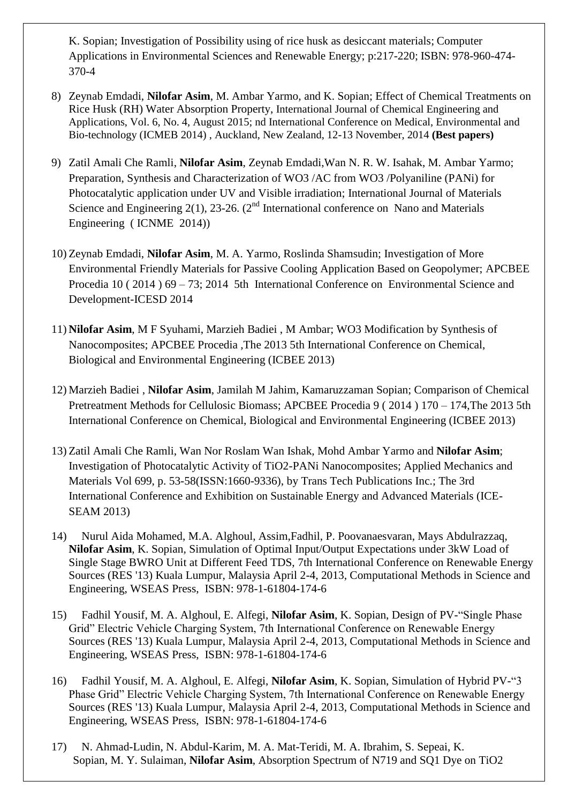K. Sopian; Investigation of Possibility using of rice husk as desiccant materials; Computer Applications in Environmental Sciences and Renewable Energy; p:217-220; ISBN: 978-960-474- 370-4

- 8) Zeynab Emdadi, **Nilofar Asim**, M. Ambar Yarmo, and K. Sopian; Effect of Chemical Treatments on Rice Husk (RH) Water Absorption Property, International Journal of Chemical Engineering and Applications, Vol. 6, No. 4, August 2015; nd International Conference on Medical, Environmental and Bio-technology (ICMEB 2014) , Auckland, New Zealand, 12-13 November, 2014 **(Best papers)**
- 9) Zatil Amali Che Ramli, **Nilofar Asim**, Zeynab Emdadi,Wan N. R. W. Isahak, M. Ambar Yarmo; Preparation, Synthesis and Characterization of WO3 /AC from WO3 /Polyaniline (PANi) for Photocatalytic application under UV and Visible irradiation; International Journal of Materials Science and Engineering 2(1), 23-26. ( $2<sup>nd</sup>$  International conference on Nano and Materials Engineering ( ICNME 2014))
- 10) Zeynab Emdadi, **Nilofar Asim**, M. A. Yarmo, Roslinda Shamsudin; Investigation of More Environmental Friendly Materials for Passive Cooling Application Based on Geopolymer; APCBEE Procedia 10 ( 2014 ) 69 – 73; 2014 5th International Conference on Environmental Science and Development-ICESD 2014
- 11) **Nilofar Asim**, M F Syuhami, Marzieh Badiei , M Ambar; WO3 Modification by Synthesis of Nanocomposites; APCBEE Procedia ,The 2013 5th International Conference on Chemical, Biological and Environmental Engineering (ICBEE 2013)
- 12) Marzieh Badiei , **Nilofar Asim**, Jamilah M Jahim, Kamaruzzaman Sopian; Comparison of Chemical Pretreatment Methods for Cellulosic Biomass; APCBEE Procedia 9 ( 2014 ) 170 – 174,The 2013 5th International Conference on Chemical, Biological and Environmental Engineering (ICBEE 2013)
- 13) Zatil Amali Che Ramli, Wan Nor Roslam Wan Ishak, Mohd Ambar Yarmo and **Nilofar Asim**; Investigation of Photocatalytic Activity of TiO2-PANi Nanocomposites; Applied Mechanics and Materials Vol 699, p. 53-58(ISSN:1660-9336), by Trans Tech Publications Inc.; The 3rd International Conference and Exhibition on Sustainable Energy and Advanced Materials (ICE-SEAM 2013)
- 14) Nurul Aida Mohamed, M.A. Alghoul, Assim,Fadhil, P. Poovanaesvaran, Mays Abdulrazzaq, **Nilofar Asim**, K. Sopian, Simulation of Optimal Input/Output Expectations under 3kW Load of Single Stage BWRO Unit at Different Feed TDS, 7th International Conference on Renewable Energy Sources (RES '13) Kuala Lumpur, Malaysia April 2-4, 2013, Computational Methods in Science and Engineering, WSEAS Press, ISBN: 978-1-61804-174-6
- 15) Fadhil Yousif, M. A. Alghoul, E. Alfegi, **Nilofar Asim**, K. Sopian, Design of PV-"Single Phase Grid" Electric Vehicle Charging System, 7th International Conference on Renewable Energy Sources (RES '13) Kuala Lumpur, Malaysia April 2-4, 2013, Computational Methods in Science and Engineering, WSEAS Press, ISBN: 978-1-61804-174-6
- 16) Fadhil Yousif, M. A. Alghoul, E. Alfegi, **Nilofar Asim**, K. Sopian, Simulation of Hybrid PV-"3 Phase Grid" Electric Vehicle Charging System, 7th International Conference on Renewable Energy Sources (RES '13) Kuala Lumpur, Malaysia April 2-4, 2013, Computational Methods in Science and Engineering, WSEAS Press, ISBN: 978-1-61804-174-6
- 17) N. Ahmad-Ludin, N. Abdul-Karim, M. A. Mat-Teridi, M. A. Ibrahim, S. Sepeai, K. Sopian, M. Y. Sulaiman, **Nilofar Asim**, Absorption Spectrum of N719 and SQ1 Dye on TiO2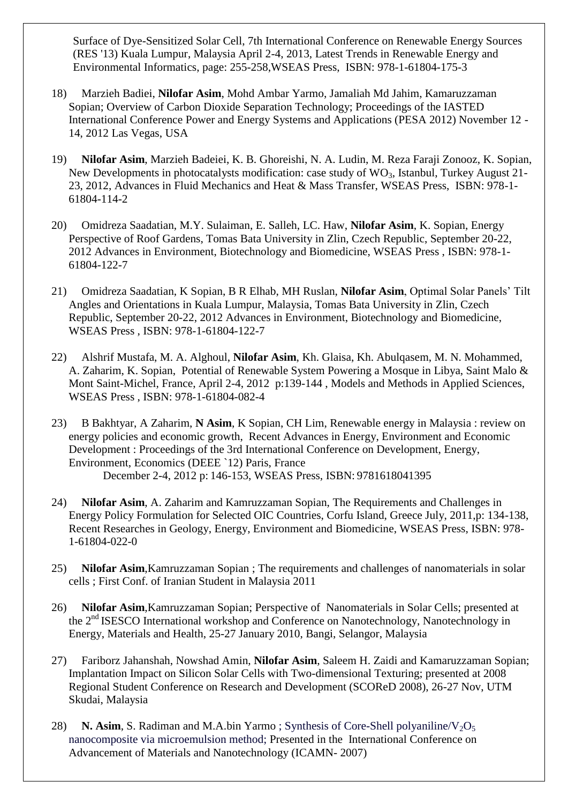Surface of Dye-Sensitized Solar Cell, 7th International Conference on Renewable Energy Sources (RES '13) Kuala Lumpur, Malaysia April 2-4, 2013, Latest Trends in Renewable Energy and Environmental Informatics, page: 255-258,WSEAS Press, ISBN: 978-1-61804-175-3

- 18) Marzieh Badiei, **Nilofar Asim**, Mohd Ambar Yarmo, Jamaliah Md Jahim, Kamaruzzaman Sopian; Overview of Carbon Dioxide Separation Technology; Proceedings of the IASTED International Conference Power and Energy Systems and Applications (PESA 2012) November 12 - 14, 2012 Las Vegas, USA
- 19) **Nilofar Asim**, Marzieh Badeiei, K. B. Ghoreishi, N. A. Ludin, M. Reza Faraji Zonooz, K. Sopian, New Developments in photocatalysts modification: case study of  $WO_3$ , Istanbul, Turkey August 21-23, 2012, Advances in Fluid Mechanics and Heat & Mass Transfer, WSEAS Press, ISBN: 978-1- 61804-114-2
- 20) Omidreza Saadatian, M.Y. Sulaiman, E. Salleh, LC. Haw, **Nilofar Asim**, K. Sopian, Energy Perspective of Roof Gardens, Tomas Bata University in Zlin, Czech Republic, September 20-22, 2012 Advances in Environment, Biotechnology and Biomedicine, WSEAS Press , ISBN: 978-1- 61804-122-7
- 21) Omidreza Saadatian, K Sopian, B R Elhab, MH Ruslan, **Nilofar Asim**, Optimal Solar Panels' Tilt Angles and Orientations in Kuala Lumpur, Malaysia, Tomas Bata University in Zlin, Czech Republic, September 20-22, 2012 Advances in Environment, Biotechnology and Biomedicine, WSEAS Press , ISBN: 978-1-61804-122-7
- 22) Alshrif Mustafa, M. A. Alghoul, **Nilofar Asim**, Kh. Glaisa, Kh. Abulqasem, M. N. Mohammed, A. Zaharim, K. Sopian, Potential of Renewable System Powering a Mosque in Libya, Saint Malo & Mont Saint-Michel, France, April 2-4, 2012 p:139-144 , Models and Methods in Applied Sciences, WSEAS Press , ISBN: 978-1-61804-082-4
- 23) B Bakhtyar, A Zaharim, **N Asim**, K Sopian, CH Lim, Renewable energy in Malaysia : review on energy policies and economic growth, Recent Advances in Energy, Environment and Economic Development : Proceedings of the 3rd International Conference on Development, Energy, Environment, Economics (DEEE `12) Paris, France December 2-4, 2012 p: 146-153, WSEAS Press, ISBN: 9781618041395
- 24) **Nilofar Asim**, A. Zaharim and Kamruzzaman Sopian, The Requirements and Challenges in Energy Policy Formulation for Selected OIC Countries, Corfu Island, Greece July, 2011,p: 134-138, Recent Researches in Geology, Energy, Environment and Biomedicine, WSEAS Press, ISBN: 978- 1-61804-022-0
- 25) **Nilofar Asim**,Kamruzzaman Sopian ; The requirements and challenges of nanomaterials in solar cells ; First Conf. of Iranian Student in Malaysia 2011
- 26) **Nilofar Asim**,Kamruzzaman Sopian; Perspective of Nanomaterials in Solar Cells; presented at the 2<sup>nd</sup> ISESCO International workshop and Conference on Nanotechnology, Nanotechnology in Energy, Materials and Health, 25-27 January 2010, Bangi, Selangor, Malaysia
- 27) Fariborz Jahanshah, Nowshad Amin, **Nilofar Asim**, Saleem H. Zaidi and Kamaruzzaman Sopian; Implantation Impact on Silicon Solar Cells with Two-dimensional Texturing; presented at 2008 Regional Student Conference on Research and Development (SCOReD 2008), 26-27 Nov, UTM Skudai, Malaysia
- 28) **N. Asim**, S. Radiman and M.A.bin Yarmo; Synthesis of Core-Shell polyaniline/ $V_2O_5$ nanocomposite via microemulsion method; Presented in the International Conference on Advancement of Materials and Nanotechnology (ICAMN- 2007)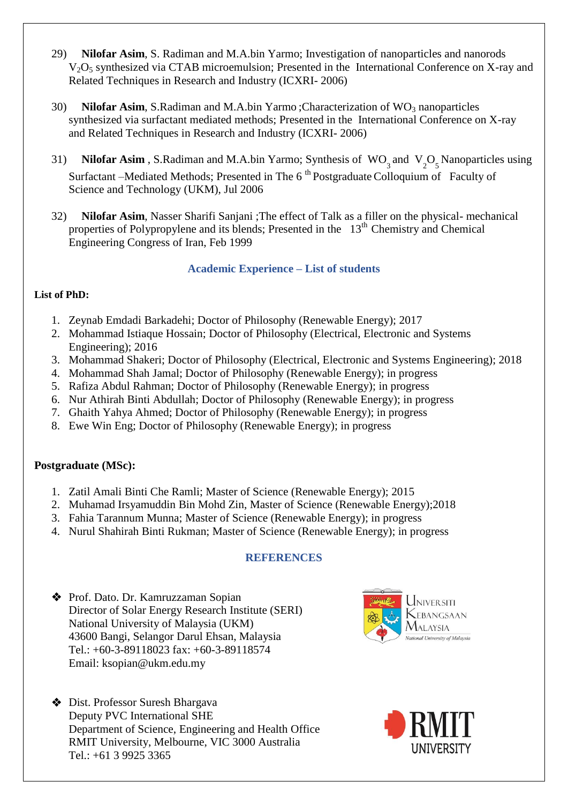- 29) **Nilofar Asim**, S. Radiman and M.A.bin Yarmo; Investigation of nanoparticles and nanorods  $V<sub>2</sub>O<sub>5</sub>$  synthesized via CTAB microemulsion; Presented in the International Conference on X-ray and Related Techniques in Research and Industry (ICXRI- 2006)
- 30) **Nilofar Asim**, S.Radiman and M.A.bin Yarmo; Characterization of WO<sub>3</sub> nanoparticles synthesized via surfactant mediated methods; Presented in the International Conference on X-ray and Related Techniques in Research and Industry (ICXRI- 2006)
- 31) **Nilofar Asim**, S.Radiman and M.A.bin Yarmo; Synthesis of  $WO_3$  and  $V_2O_5$  Nanoparticles using Surfactant –Mediated Methods; Presented in The 6<sup>th</sup> Postgraduate Colloquium of Faculty of Science and Technology (UKM), Jul 2006
- 32) **Nilofar Asim**, Nasser Sharifi Sanjani ;The effect of Talk as a filler on the physical- mechanical properties of Polypropylene and its blends; Presented in the  $13<sup>th</sup>$  Chemistry and Chemical Engineering Congress of Iran, Feb 1999

### **Academic Experience – List of students**

### **List of PhD:**

- 1. Zeynab Emdadi Barkadehi; Doctor of Philosophy (Renewable Energy); 2017
- 2. Mohammad Istiaque Hossain; Doctor of Philosophy (Electrical, Electronic and Systems Engineering); 2016
- 3. Mohammad Shakeri; Doctor of Philosophy (Electrical, Electronic and Systems Engineering); 2018
- 4. Mohammad Shah Jamal; Doctor of Philosophy (Renewable Energy); in progress
- 5. Rafiza Abdul Rahman; Doctor of Philosophy (Renewable Energy); in progress
- 6. Nur Athirah Binti Abdullah; Doctor of Philosophy (Renewable Energy); in progress
- 7. Ghaith Yahya Ahmed; Doctor of Philosophy (Renewable Energy); in progress
- 8. Ewe Win Eng; Doctor of Philosophy (Renewable Energy); in progress

### **Postgraduate (MSc):**

- 1. Zatil Amali Binti Che Ramli; Master of Science (Renewable Energy); 2015
- 2. Muhamad Irsyamuddin Bin Mohd Zin, Master of Science (Renewable Energy);2018
- 3. Fahia Tarannum Munna; Master of Science (Renewable Energy); in progress
- 4. Nurul Shahirah Binti Rukman; Master of Science (Renewable Energy); in progress

### **REFERENCES**

◆ Prof. Dato. Dr. Kamruzzaman Sopian Director of Solar Energy Research Institute (SERI) National University of Malaysia (UKM) 43600 Bangi, Selangor Darul Ehsan, Malaysia Tel.: +60-3-89118023 fax: +60-3-89118574 Email: ksopian@ukm.edu.my

 $\bullet$  Dist. Professor Suresh Bhargava Deputy PVC International SHE Department of Science, Engineering and Health Office RMIT University, Melbourne, VIC 3000 Australia Tel.: +61 3 9925 3365